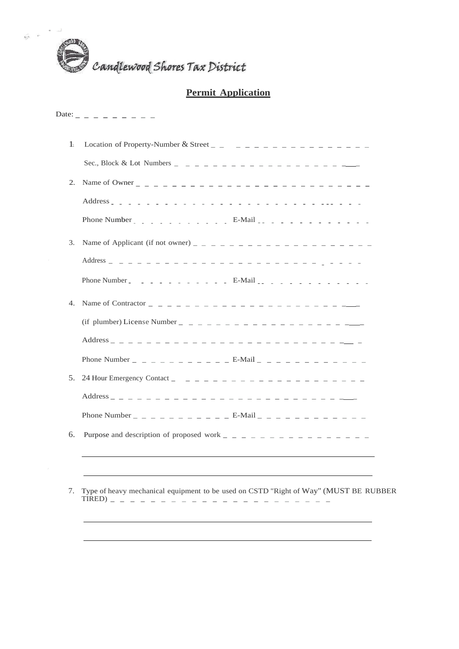

# **Permit Application**

## Date:  $- - - - - - - -$

| 6. |                                                                                         |
|----|-----------------------------------------------------------------------------------------|
|    | 7. Type of heavy mechanical equipment to be used on CSTD "Right of Way" (MUST BE RUBBER |

/

| $1$ . | Location of Property-Number & Street $\frac{1}{x}$ $\frac{1}{x}$ $\frac{1}{x}$ $\frac{1}{x}$ $\frac{1}{x}$ $\frac{1}{x}$ $\frac{1}{x}$ $\frac{1}{x}$ $\frac{1}{x}$ $\frac{1}{x}$ $\frac{1}{x}$ $\frac{1}{x}$ $\frac{1}{x}$ $\frac{1}{x}$ $\frac{1}{x}$ $\frac{1}{x}$ $\frac{1}{x}$ $\frac{1}{x}$ $\frac{$                            |  |
|-------|--------------------------------------------------------------------------------------------------------------------------------------------------------------------------------------------------------------------------------------------------------------------------------------------------------------------------------------|--|
|       |                                                                                                                                                                                                                                                                                                                                      |  |
| 2.    |                                                                                                                                                                                                                                                                                                                                      |  |
|       |                                                                                                                                                                                                                                                                                                                                      |  |
|       | Phone Number _ _ _ _ _ _ _ _ _ _ _ E-Mail _ _ _ _ _ _ _ _ _ _ _ _ _ _ _                                                                                                                                                                                                                                                              |  |
| 3.    |                                                                                                                                                                                                                                                                                                                                      |  |
|       |                                                                                                                                                                                                                                                                                                                                      |  |
|       | Phone Number _ _ _ _ _ _ _ _ _ _ _ E-Mail _ _ _ _ _ _ _ _ _ _ _ _ _ _                                                                                                                                                                                                                                                                |  |
| 4.    | Name of Contractor $\qquad$ $\qquad$ $\qquad$ $\qquad$ $\qquad$ $\qquad$ $\qquad$ $\qquad$ $\qquad$ $\qquad$ $\qquad$ $\qquad$ $\qquad$ $\qquad$ $\qquad$ $\qquad$ $\qquad$ $\qquad$ $\qquad$ $\qquad$ $\qquad$ $\qquad$ $\qquad$ $\qquad$ $\qquad$ $\qquad$ $\qquad$ $\qquad$ $\qquad$ $\qquad$ $\qquad$ $\qquad$ $\qquad$ $\qquad$ |  |
|       |                                                                                                                                                                                                                                                                                                                                      |  |
|       |                                                                                                                                                                                                                                                                                                                                      |  |
|       | Phone Number _ _ _ _ _ _ _ _ _ _ _ E-Mail _ _ _ _ _ _ _ _ _ _ _ _ _                                                                                                                                                                                                                                                                  |  |